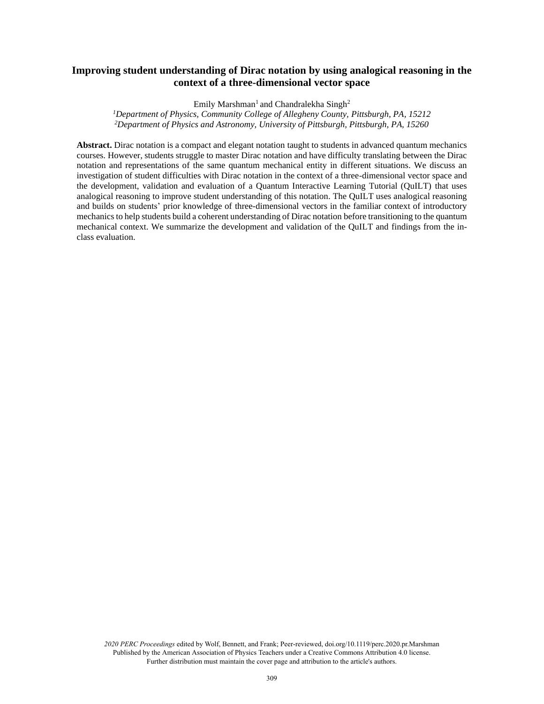# **Improving student understanding of Dirac notation by using analogical reasoning in the context of a three-dimensional vector space**

Emily Marshman<sup>1</sup> and Chandralekha Singh<sup>2</sup>

*<sup>1</sup>Department of Physics, Community College of Allegheny County, Pittsburgh, PA, 15212 <sup>2</sup>Department of Physics and Astronomy, University of Pittsburgh, Pittsburgh, PA, 15260*

**Abstract.** Dirac notation is a compact and elegant notation taught to students in advanced quantum mechanics courses. However, students struggle to master Dirac notation and have difficulty translating between the Dirac notation and representations of the same quantum mechanical entity in different situations. We discuss an investigation of student difficulties with Dirac notation in the context of a three-dimensional vector space and the development, validation and evaluation of a Quantum Interactive Learning Tutorial (QuILT) that uses analogical reasoning to improve student understanding of this notation. The QuILT uses analogical reasoning and builds on students' prior knowledge of three-dimensional vectors in the familiar context of introductory mechanics to help students build a coherent understanding of Dirac notation before transitioning to the quantum mechanical context. We summarize the development and validation of the QuILT and findings from the inclass evaluation.

*2020 PERC Proceedings* edited by Wolf, Bennett, and Frank; Peer-reviewed, doi.org/10.1119/perc.2020.pr.Marshman Published by the American Association of Physics Teachers under a Creative Commons Attribution 4.0 license. Further distribution must maintain the cover page and attribution to the article's authors.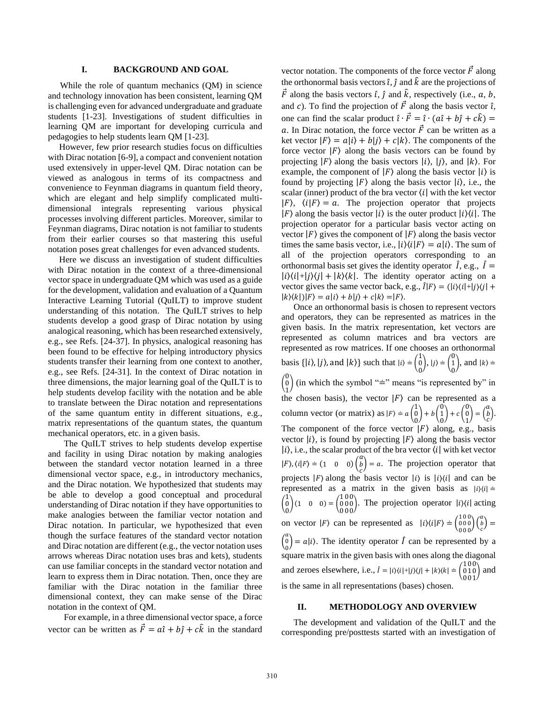## **I. BACKGROUND AND GOAL**

While the role of quantum mechanics (QM) in science and technology innovation has been consistent, learning QM is challenging even for advanced undergraduate and graduate students [1-23]. Investigations of student difficulties in learning QM are important for developing curricula and pedagogies to help students learn QM [1-23].

 However, few prior research studies focus on difficulties with Dirac notation [6-9], a compact and convenient notation used extensively in upper-level QM. Dirac notation can be viewed as analogous in terms of its compactness and convenience to Feynman diagrams in quantum field theory, which are elegant and help simplify complicated multidimensional integrals representing various physical processes involving different particles. Moreover, similar to Feynman diagrams, Dirac notation is not familiar to students from their earlier courses so that mastering this useful notation poses great challenges for even advanced students.

 Here we discuss an investigation of student difficulties with Dirac notation in the context of a three-dimensional vector space in undergraduate QM which was used as a guide for the development, validation and evaluation of a Quantum Interactive Learning Tutorial (QuILT) to improve student understanding of this notation. The QuILT strives to help students develop a good grasp of Dirac notation by using analogical reasoning, which has been researched extensively, e.g., see Refs. [24-37]. In physics, analogical reasoning has been found to be effective for helping introductory physics students transfer their learning from one context to another, e.g., see Refs. [24-31]. In the context of Dirac notation in three dimensions, the major learning goal of the QuILT is to help students develop facility with the notation and be able to translate between the Dirac notation and representations of the same quantum entity in different situations, e.g., matrix representations of the quantum states, the quantum mechanical operators, etc. in a given basis.

The QuILT strives to help students develop expertise and facility in using Dirac notation by making analogies between the standard vector notation learned in a three dimensional vector space, e.g., in introductory mechanics, and the Dirac notation. We hypothesized that students may be able to develop a good conceptual and procedural understanding of Dirac notation if they have opportunities to make analogies between the familiar vector notation and Dirac notation. In particular, we hypothesized that even though the surface features of the standard vector notation and Dirac notation are different (e.g., the vector notation uses arrows whereas Dirac notation uses bras and kets), students can use familiar concepts in the standard vector notation and learn to express them in Dirac notation. Then, once they are familiar with the Dirac notation in the familiar three dimensional context, they can make sense of the Dirac notation in the context of QM.

For example, in a three dimensional vector space, a force vector can be written as  $\vec{F} = a\hat{i} + b\hat{j} + c\hat{k}$  in the standard vector notation. The components of the force vector  $\vec{F}$  along the orthonormal basis vectors  $\hat{i}$ ,  $\hat{j}$  and  $\hat{k}$  are the projections of  $\vec{F}$  along the basis vectors  $\hat{i}$ ,  $\hat{j}$  and  $\hat{k}$ , respectively (i.e.,  $a, b$ , and c). To find the projection of  $\vec{F}$  along the basis vector  $\hat{i}$ , one can find the scalar product  $\hat{i} \cdot \vec{F} = \hat{i} \cdot (a\hat{i} + b\hat{j} + c\hat{k}) =$ a. In Dirac notation, the force vector  $\vec{F}$  can be written as a ket vector  $|F\rangle = a|i\rangle + b|i\rangle + c|k\rangle$ . The components of the force vector  $|F\rangle$  along the basis vectors can be found by projecting  $|F\rangle$  along the basis vectors  $|i\rangle$ ,  $|j\rangle$ , and  $|k\rangle$ . For example, the component of  $|F\rangle$  along the basis vector  $|i\rangle$  is found by projecting  $|F\rangle$  along the basis vector  $|i\rangle$ , i.e., the scalar (inner) product of the bra vector  $\langle i |$  with the ket vector  $|F\rangle$ ,  $\langle i|F\rangle = a$ . The projection operator that projects  $|F\rangle$  along the basis vector  $|i\rangle$  is the outer product  $|i\rangle\langle i|$ . The projection operator for a particular basis vector acting on vector  $|F\rangle$  gives the component of  $|F\rangle$  along the basis vector times the same basis vector, i.e.,  $|i\rangle\langle i|F\rangle = a|i\rangle$ . The sum of all of the projection operators corresponding to an orthonormal basis set gives the identity operator  $\hat{I}$ , e.g.,  $\hat{I}$  =  $|i\rangle\langle i|+|j\rangle\langle j|+|k\rangle\langle k|$ . The identity operator acting on a vector gives the same vector back, e.g.,  $\hat{I}|F\rangle = (|i\rangle\langle i|+|j\rangle\langle j|+$  $|k\rangle\langle k|)|F\rangle = a|i\rangle + b|j\rangle + c|k\rangle = |F\rangle.$ 

Once an orthonormal basis is chosen to represent vectors and operators, they can be represented as matrices in the given basis. In the matrix representation, ket vectors are represented as column matrices and bra vectors are represented as row matrices. If one chooses an orthonormal basis { $|i\rangle$ ,  $|j\rangle$ , and  $|k\rangle$ } such that  $|i\rangle = \begin{pmatrix} 1 \\ 0 \end{pmatrix}$ 0  $\bigg), |j\rangle = \bigg( \begin{matrix} 0 \\ 1 \end{matrix} \bigg)$ 0 ), and  $|k\rangle$  =  $\binom{0}{0}$  $\int_{1}^{\infty}$  (in which the symbol " $\equiv$ " means "is represented by" in the chosen basis), the vector  $|F\rangle$  can be represented as a column vector (or matrix) as  $|F\rangle = a \begin{pmatrix} 1 \\ 0 \end{pmatrix}$ 0  $+ b \binom{0}{1}$ 0  $\bigg) + c \begin{pmatrix} 0 \\ 0 \end{pmatrix}$ 1  $\bigg) = \bigg( \begin{matrix} a \\ b \end{matrix} \bigg)$  $\binom{b}{c}$ . The component of the force vector  $|F\rangle$  along, e.g., basis vector  $|i\rangle$ , is found by projecting  $|F\rangle$  along the basis vector  $|i\rangle$ , i.e., the scalar product of the bra vector  $\langle i|$  with ket vector  $|F\rangle$ ,  $\langle i|F\rangle = (1 \ 0 \ 0) \begin{pmatrix} a \\ b \end{pmatrix}$  $\binom{b}{c}$  = a. The projection operator that projects  $|F\rangle$  along the basis vector  $|i\rangle$  is  $|i\rangle\langle i|$  and can be represented as a matrix in the given basis as  $|i\rangle\langle i|$  =  $\begin{pmatrix} 1 \\ 0 \end{pmatrix}$ 0  $(1 \t0 \t0) = \begin{pmatrix} 100 \\ 000 \end{pmatrix}$ 000 000 ). The projection operator  $|i\rangle\langle i|$  acting on vector  $|F\rangle$  can be represented as  $|i\rangle\langle i|F\rangle = \begin{pmatrix} 1 & 0 & 0 \\ 0 & 0 & 0 \\ 0 & 0 & 0 \end{pmatrix} \begin{pmatrix} a \\ b \\ c \end{pmatrix} =$  $\begin{pmatrix} a \\ 0 \end{pmatrix} = a|i$ . The identity operator  $\hat{I}$  can be represented by a 0 square matrix in the given basis with ones along the diagonal and zeroes elsewhere, i.e.,  $\hat{i} = |i\rangle\langle i| + |j\rangle\langle j| + |k\rangle\langle k| = \begin{pmatrix} 100 \\ 010 \end{pmatrix}$ 010 001 ) and is the same in all representations (bases) chosen.

### **II. METHODOLOGY AND OVERVIEW**

The development and validation of the QuILT and the corresponding pre/posttests started with an investigation of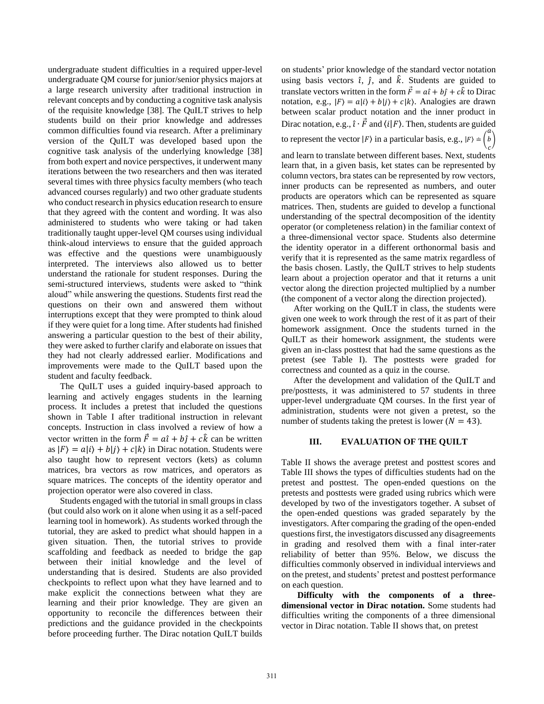undergraduate student difficulties in a required upper-level undergraduate QM course for junior/senior physics majors at a large research university after traditional instruction in relevant concepts and by conducting a cognitive task analysis of the requisite knowledge [38]. The QuILT strives to help students build on their prior knowledge and addresses common difficulties found via research. After a preliminary version of the QuILT was developed based upon the cognitive task analysis of the underlying knowledge [38] from both expert and novice perspectives, it underwent many iterations between the two researchers and then was iterated several times with three physics faculty members (who teach advanced courses regularly) and two other graduate students who conduct research in physics education research to ensure that they agreed with the content and wording. It was also administered to students who were taking or had taken traditionally taught upper-level QM courses using individual think-aloud interviews to ensure that the guided approach was effective and the questions were unambiguously interpreted. The interviews also allowed us to better understand the rationale for student responses. During the semi-structured interviews, students were asked to "think aloud" while answering the questions. Students first read the questions on their own and answered them without interruptions except that they were prompted to think aloud if they were quiet for a long time. After students had finished answering a particular question to the best of their ability, they were asked to further clarify and elaborate on issues that they had not clearly addressed earlier. Modifications and improvements were made to the QuILT based upon the student and faculty feedback.

The QuILT uses a guided inquiry-based approach to learning and actively engages students in the learning process. It includes a pretest that included the questions shown in Table I after traditional instruction in relevant concepts. Instruction in class involved a review of how a vector written in the form  $\vec{F} = a\hat{i} + b\hat{j} + c\hat{k}$  can be written as  $|F\rangle = a|i\rangle + b|j\rangle + c|k\rangle$  in Dirac notation. Students were also taught how to represent vectors (kets) as column matrices, bra vectors as row matrices, and operators as square matrices. The concepts of the identity operator and projection operator were also covered in class.

Students engaged with the tutorial in small groups in class (but could also work on it alone when using it as a self-paced learning tool in homework). As students worked through the tutorial, they are asked to predict what should happen in a given situation. Then, the tutorial strives to provide scaffolding and feedback as needed to bridge the gap between their initial knowledge and the level of understanding that is desired. Students are also provided checkpoints to reflect upon what they have learned and to make explicit the connections between what they are learning and their prior knowledge. They are given an opportunity to reconcile the differences between their predictions and the guidance provided in the checkpoints before proceeding further. The Dirac notation QuILT builds on students' prior knowledge of the standard vector notation using basis vectors  $\hat{i}$ ,  $\hat{j}$ , and  $\hat{k}$ . Students are guided to translate vectors written in the form  $\vec{F} = a\hat{i} + b\hat{j} + c\hat{k}$  to Dirac notation, e.g.,  $|F\rangle = a|i\rangle + b|j\rangle + c|k\rangle$ . Analogies are drawn between scalar product notation and the inner product in Dirac notation, e.g.,  $\hat{i} \cdot \vec{F}$  and  $\langle i|F \rangle$ . Then, students are guided to represent the vector  $|F\rangle$  in a particular basis, e.g.,  $|F\rangle \doteq 0$  $\alpha$ b )

 $\mathcal{C}_{0}$ and learn to translate between different bases. Next, students learn that, in a given basis, ket states can be represented by column vectors, bra states can be represented by row vectors, inner products can be represented as numbers, and outer products are operators which can be represented as square matrices. Then, students are guided to develop a functional understanding of the spectral decomposition of the identity operator (or completeness relation) in the familiar context of a three-dimensional vector space. Students also determine the identity operator in a different orthonormal basis and verify that it is represented as the same matrix regardless of the basis chosen. Lastly, the QuILT strives to help students learn about a projection operator and that it returns a unit vector along the direction projected multiplied by a number (the component of a vector along the direction projected).

After working on the QuILT in class, the students were given one week to work through the rest of it as part of their homework assignment. Once the students turned in the QuILT as their homework assignment, the students were given an in-class posttest that had the same questions as the pretest (see Table I). The posttests were graded for correctness and counted as a quiz in the course.

After the development and validation of the QuILT and pre/posttests, it was administered to 57 students in three upper-level undergraduate QM courses. In the first year of administration, students were not given a pretest, so the number of students taking the pretest is lower ( $N = 43$ ).

### **III. EVALUATION OF THE QUILT**

Table II shows the average pretest and posttest scores and Table III shows the types of difficulties students had on the pretest and posttest. The open-ended questions on the pretests and posttests were graded using rubrics which were developed by two of the investigators together. A subset of the open-ended questions was graded separately by the investigators. After comparing the grading of the open-ended questions first, the investigators discussed any disagreements in grading and resolved them with a final inter-rater reliability of better than 95%. Below, we discuss the difficulties commonly observed in individual interviews and on the pretest, and students' pretest and posttest performance on each question.

**Difficulty with the components of a threedimensional vector in Dirac notation.** Some students had difficulties writing the components of a three dimensional vector in Dirac notation. Table II shows that, on pretest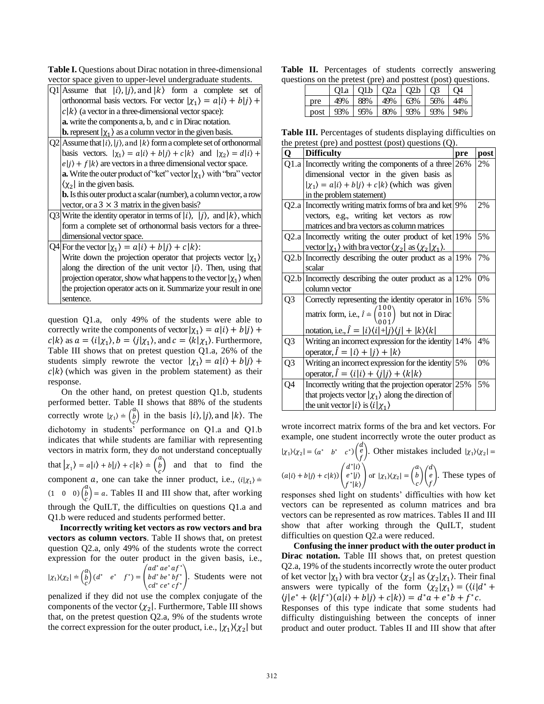| <b>Table I.</b> Ouestions about Dirac notation in three-dimensional |
|---------------------------------------------------------------------|
| vector space given to upper-level undergraduate students.           |

| vector space given to upper-lever undergraduate students.                                                  |  |  |  |  |  |  |  |
|------------------------------------------------------------------------------------------------------------|--|--|--|--|--|--|--|
| Q1 Assume that $ i\rangle$ , $ j\rangle$ , and $ k\rangle$ form a complete set of                          |  |  |  |  |  |  |  |
| orthonormal basis vectors. For vector $ \chi_1\rangle = a i\rangle + b j\rangle +$                         |  |  |  |  |  |  |  |
| $c k\rangle$ (a vector in a three-dimensional vector space):                                               |  |  |  |  |  |  |  |
| <b>a.</b> write the components a, b, and c in Dirac notation.                                              |  |  |  |  |  |  |  |
| <b>b.</b> represent $ \chi_1\rangle$ as a column vector in the given basis.                                |  |  |  |  |  |  |  |
| $Q2$ Assume that $ i\rangle$ , $ j\rangle$ , and $ k\rangle$ form a complete set of orthonormal            |  |  |  |  |  |  |  |
| basis vectors. $ \chi_1\rangle = a i\rangle + b i\rangle + c k\rangle$ and $ \chi_2\rangle = d i\rangle +$ |  |  |  |  |  |  |  |
| $e j\rangle + f k\rangle$ are vectors in a three dimensional vector space.                                 |  |  |  |  |  |  |  |
| <b>a.</b> Write the outer product of "ket" vector $ \chi_1\rangle$ with "bra" vector                       |  |  |  |  |  |  |  |
| $\chi_2$ in the given basis.                                                                               |  |  |  |  |  |  |  |
| <b>b.</b> Is this outer product a scalar (number), a column vector, a row                                  |  |  |  |  |  |  |  |
| vector, or a $3 \times 3$ matrix in the given basis?                                                       |  |  |  |  |  |  |  |
| Q3 Write the identity operator in terms of $ i\rangle$ , $ j\rangle$ , and $ k\rangle$ , which             |  |  |  |  |  |  |  |
| form a complete set of orthonormal basis vectors for a three-                                              |  |  |  |  |  |  |  |
| dimensional vector space.                                                                                  |  |  |  |  |  |  |  |
| Q4 For the vector $ \chi_1\rangle = a i\rangle + b j\rangle + c k\rangle$ :                                |  |  |  |  |  |  |  |
| Write down the projection operator that projects vector $ \chi_1\rangle$                                   |  |  |  |  |  |  |  |
| along the direction of the unit vector $ i\rangle$ . Then, using that                                      |  |  |  |  |  |  |  |
| projection operator, show what happens to the vector $ \chi_1\rangle$ when                                 |  |  |  |  |  |  |  |
| the projection operator acts on it. Summarize your result in one                                           |  |  |  |  |  |  |  |
| sentence.                                                                                                  |  |  |  |  |  |  |  |

question Q1.a, only 49% of the students were able to correctly write the components of vector  $|\chi_1\rangle = a|i\rangle + b|j\rangle + b|j\rangle$  $c|k\rangle$  as  $a = \langle i|\chi_1\rangle$ ,  $b = \langle j|\chi_1\rangle$ , and  $c = \langle k|\chi_1\rangle$ . Furthermore, Table III shows that on pretest question Q1.a, 26% of the students simply rewrote the vector  $|\chi_1\rangle = a|i\rangle + b|j\rangle +$  $c|k\rangle$  (which was given in the problem statement) as their response.

 On the other hand, on pretest question Q1.b, students performed better. Table II shows that 88% of the students correctly wrote  $|\chi_1\rangle \doteq \begin{pmatrix} a \\ b \end{pmatrix}$  $\begin{pmatrix} b \\ c \end{pmatrix}$  in the basis  $|i\rangle$ ,  $|j\rangle$ , and  $|k\rangle$ . The dichotomy in students' performance on Q1.a and Q1.b indicates that while students are familiar with representing vectors in matrix form, they do not understand conceptually that  $|x_1\rangle = a|i\rangle + b|j\rangle + c|k\rangle = \begin{pmatrix} a \\ b \end{pmatrix}$  $\binom{b}{c}$  and that to find the component *a*, one can take the inner product, i.e.,  $\langle i | \chi_1 \rangle$  =  $(1 \ 0 \ 0) \binom{a}{b}$  $\vec{b}_c$ ) = a. Tables II and III show that, after working through the QuILT, the difficulties on questions Q1.a and Q1.b were reduced and students performed better.

**Incorrectly writing ket vectors as row vectors and bra vectors as column vectors**. Table II shows that, on pretest question Q2.a, only 49% of the students wrote the correct expression for the outer product in the given basis, i.e.,  $|\chi_1\rangle\langle\chi_2| \doteq \begin{pmatrix} a \\ b \end{pmatrix}$  $\begin{pmatrix} b \\ c \end{pmatrix} (d^* \quad e^* \quad f^*) =$  $ad^*ae^*af^*$  $bd^*be^*bf^*$  $bd^*be^*bf^*$ . Students were not  $cd^*ce^*cf^*$ .

penalized if they did not use the complex conjugate of the components of the vector  $\chi_2$ . Furthermore, Table III shows that, on the pretest question Q2.a, 9% of the students wrote the correct expression for the outer product, i.e.,  $|\chi_1\rangle\langle \chi_2|$  but

Table II. Percentages of students correctly answering questions on the pretest (pre) and posttest (post) questions.

|      |     | Q1a   Q1b   Q2a   Q2b |        |     | O <sub>3</sub> | Q4  |
|------|-----|-----------------------|--------|-----|----------------|-----|
| pre  | 49% | 88%                   | $49\%$ | 63% | 156%           | 44% |
| post | 93% | 95%                   | 80%    | 93% | 93%            | 94% |

**Table III.** Percentages of students displaying difficulties on the pretest (pre) and posttest (post) questions  $(Q)$ .

| Q              | $\mu$ pretest (pre) and positest (post) questions (Q).<br><b>Difficulty</b>                                       | pre | post |
|----------------|-------------------------------------------------------------------------------------------------------------------|-----|------|
|                | Q1.a Incorrectly writing the components of a three $ 26\% $                                                       |     | 2%   |
|                | dimensional vector in the given basis as                                                                          |     |      |
|                | $ \chi_1\rangle = a i\rangle + b j\rangle + c k\rangle$ (which was given                                          |     |      |
|                | in the problem statement)                                                                                         |     |      |
|                | Q2.a Incorrectly writing matrix forms of bra and ket 9%                                                           |     | 2%   |
|                | vectors, e.g., writing ket vectors as row                                                                         |     |      |
|                | matrices and bra vectors as column matrices                                                                       |     |      |
|                | $Q2.a$ Incorrectly writing the outer product of ket 19%                                                           |     | 5%   |
|                | vector $ \chi_1\rangle$ with bra vector $\langle \chi_2  $ as $\langle \chi_2   \chi_1 \rangle$ .                 |     |      |
|                | $Q2.b$ Incorrectly describing the outer product as a 19%                                                          |     | 7%   |
|                | scalar                                                                                                            |     |      |
|                | Q2.b Incorrectly describing the outer product as a $12\%$                                                         |     | 0%   |
|                | column vector                                                                                                     |     |      |
| Q <sub>3</sub> | Correctly representing the identity operator in 16%                                                               |     | 5%   |
|                |                                                                                                                   |     |      |
|                | matrix form, i.e., $\hat{l} = \begin{pmatrix} 1 & 0 & 0 \\ 0 & 1 & 0 \\ 0 & 0 & 1 \end{pmatrix}$ but not in Dirac |     |      |
|                | notation, i.e., $\hat{I} =  i\rangle\langle i  +  j\rangle\langle j  +  k\rangle\langle k $                       |     |      |
| Q3             | Writing an incorrect expression for the identity 14%                                                              |     | 4%   |
|                | operator, $\hat{i} =  i\rangle +  j\rangle +  k\rangle$                                                           |     |      |
| Q <sub>3</sub> | Writing an incorrect expression for the identity 5%                                                               |     | 0%   |
|                | operator, $\hat{I} = \langle i i \rangle + \langle j j \rangle + \langle k k \rangle$                             |     |      |
| Q4             | Incorrectly writing that the projection operator 25%                                                              |     | 5%   |
|                | that projects vector $ \chi_1\rangle$ along the direction of                                                      |     |      |
|                | the unit vector $ i\rangle$ is $\langle i \chi_1\rangle$                                                          |     |      |

wrote incorrect matrix forms of the bra and ket vectors. For example, one student incorrectly wrote the outer product as

$$
|\chi_1\rangle\langle\chi_2| = (a^* \quad b^* \quad c^*) \begin{pmatrix} d \\ e \\ f \end{pmatrix}.
$$
 Other mistakes included  $|\chi_1\rangle\langle\chi_2| = (a|i\rangle + b|j\rangle + c|k\rangle) \begin{pmatrix} d^*|i\rangle \\ e^*|j\rangle \\ f^*|k\rangle \end{pmatrix}$  or  $|\chi_1\rangle\langle\chi_2| = \begin{pmatrix} a \\ b \\ c \end{pmatrix} \begin{pmatrix} d \\ e \\ f \end{pmatrix}.$  These types of

responses shed light on students' difficulties with how ket vectors can be represented as column matrices and bra vectors can be represented as row matrices. Tables II and III show that after working through the QuILT, student difficulties on question Q2.a were reduced.

**Confusing the inner product with the outer product in Dirac notation.** Table III shows that, on pretest question Q2.a, 19% of the students incorrectly wrote the outer product of ket vector  $|\chi_1\rangle$  with bra vector  $\langle \chi_2 | \text{ as } \langle \chi_2 | \chi_1 \rangle$ . Their final answers were typically of the form  $\langle \chi_2 | \chi_1 \rangle = (\langle i | d^* +$  $\langle j|e^* + \langle k|f^* \rangle(a|i\rangle + b|j\rangle + c|k\rangle) = d^*a + e^*b + f^*c.$ 

Responses of this type indicate that some students had difficulty distinguishing between the concepts of inner product and outer product. Tables II and III show that after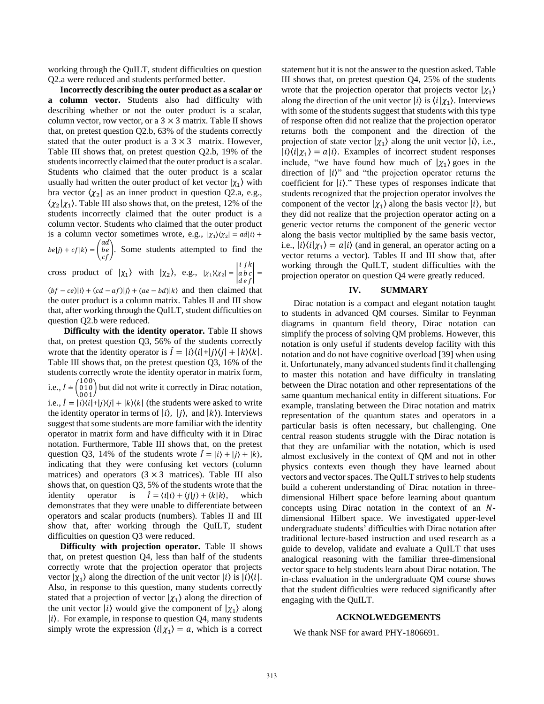working through the QuILT, student difficulties on question Q2.a were reduced and students performed better.

**Incorrectly describing the outer product as a scalar or a column vector.** Students also had difficulty with describing whether or not the outer product is a scalar, column vector, row vector, or a  $3 \times 3$  matrix. Table II shows that, on pretest question Q2.b, 63% of the students correctly stated that the outer product is a  $3 \times 3$  matrix. However, Table III shows that, on pretest question Q2.b, 19% of the students incorrectly claimed that the outer product is a scalar. Students who claimed that the outer product is a scalar usually had written the outer product of ket vector  $|\chi_1\rangle$  with bra vector  $\langle \chi_2 |$  as an inner product in question Q2.a, e.g.,  $\langle \chi_2 | \chi_1 \rangle$ . Table III also shows that, on the pretest, 12% of the students incorrectly claimed that the outer product is a column vector. Students who claimed that the outer product is a column vector sometimes wrote, e.g.,  $|\chi_1\rangle\langle \chi_2| = ad|i\rangle +$  $|be|j\rangle + cf|k\rangle = |$ ad

be). Some students attempted to find the  $cf$ i j k

cross product of  $|\chi_1\rangle$  with  $|\chi_2\rangle$ , e.g.,  $|\chi_1\rangle\langle\chi_2| = |\chi_1\rangle\langle\chi_2|$ a b c d e f | =

 $(bf - ce)|i\rangle + (cd - af)|j\rangle + (ae - bd)|k\rangle$  and then claimed that the outer product is a column matrix. Tables II and III show that, after working through the QuILT, student difficulties on question Q2.b were reduced.

**Difficulty with the identity operator.** Table II shows that, on pretest question Q3, 56% of the students correctly wrote that the identity operator is  $\hat{I} = |i\rangle\langle i| + |j\rangle\langle j| + |k\rangle\langle k|$ . Table III shows that, on the pretest question Q3, 16% of the students correctly wrote the identity operator in matrix form, i.e.,  $\hat{I} = \begin{pmatrix} 1 & 0 & 0 \\ 0 & 1 & 0 \end{pmatrix}$ 010 001 ) but did not write it correctly in Dirac notation, i.e.,  $\hat{I} = |i\rangle\langle i| + |j\rangle\langle j| + |k\rangle\langle k|$  (the students were asked to write the identity operator in terms of  $|i\rangle$ ,  $|j\rangle$ , and  $|k\rangle$ ). Interviews suggest that some students are more familiar with the identity operator in matrix form and have difficulty with it in Dirac notation. Furthermore, Table III shows that, on the pretest question Q3, 14% of the students wrote  $\hat{I} = |i\rangle + |j\rangle + |k\rangle$ , indicating that they were confusing ket vectors (column matrices) and operators  $(3 \times 3$  matrices). Table III also shows that, on question Q3, 5% of the students wrote that the identity operator is  $\hat{I} = \langle i|i \rangle + \langle j|i \rangle + \langle k|k \rangle$ , which demonstrates that they were unable to differentiate between operators and scalar products (numbers). Tables II and III show that, after working through the QuILT, student difficulties on question Q3 were reduced.

**Difficulty with projection operator.** Table II shows that, on pretest question Q4, less than half of the students correctly wrote that the projection operator that projects vector  $|\chi_1\rangle$  along the direction of the unit vector  $|i\rangle$  is  $|i\rangle\langle i|$ . Also, in response to this question, many students correctly stated that a projection of vector  $|\chi_1\rangle$  along the direction of the unit vector  $|i\rangle$  would give the component of  $|\chi_1\rangle$  along  $|i\rangle$ . For example, in response to question Q4, many students simply wrote the expression  $\langle i | \chi_1 \rangle = a$ , which is a correct statement but it is not the answer to the question asked. Table III shows that, on pretest question Q4, 25% of the students wrote that the projection operator that projects vector  $|\chi_1\rangle$ along the direction of the unit vector  $|i\rangle$  is  $\langle i|\chi_1\rangle$ . Interviews with some of the students suggest that students with this type of response often did not realize that the projection operator returns both the component and the direction of the projection of state vector  $|\chi_1\rangle$  along the unit vector  $|i\rangle$ , i.e.,  $|i\rangle\langle i|\chi_1\rangle = a|i\rangle$ . Examples of incorrect student responses include, "we have found how much of  $|\chi_1\rangle$  goes in the direction of  $|i\rangle$ " and "the projection operator returns the coefficient for  $|i\rangle$ ." These types of responses indicate that students recognized that the projection operator involves the component of the vector  $|\chi_1\rangle$  along the basis vector  $|i\rangle$ , but they did not realize that the projection operator acting on a generic vector returns the component of the generic vector along the basis vector multiplied by the same basis vector, i.e.,  $|i\rangle\langle i|\chi_1\rangle = a|i\rangle$  (and in general, an operator acting on a vector returns a vector). Tables II and III show that, after working through the QuILT, student difficulties with the projection operator on question Q4 were greatly reduced.

#### **IV. SUMMARY**

Dirac notation is a compact and elegant notation taught to students in advanced QM courses. Similar to Feynman diagrams in quantum field theory, Dirac notation can simplify the process of solving QM problems. However, this notation is only useful if students develop facility with this notation and do not have cognitive overload [39] when using it. Unfortunately, many advanced students find it challenging to master this notation and have difficulty in translating between the Dirac notation and other representations of the same quantum mechanical entity in different situations. For example, translating between the Dirac notation and matrix representation of the quantum states and operators in a particular basis is often necessary, but challenging. One central reason students struggle with the Dirac notation is that they are unfamiliar with the notation, which is used almost exclusively in the context of QM and not in other physics contexts even though they have learned about vectors and vector spaces. The QuILT strives to help students build a coherent understanding of Dirac notation in threedimensional Hilbert space before learning about quantum concepts using Dirac notation in the context of an  $N$ dimensional Hilbert space. We investigated upper-level undergraduate students' difficulties with Dirac notation after traditional lecture-based instruction and used research as a guide to develop, validate and evaluate a QuILT that uses analogical reasoning with the familiar three-dimensional vector space to help students learn about Dirac notation. The in-class evaluation in the undergraduate QM course shows that the student difficulties were reduced significantly after engaging with the QuILT.

#### **ACKNOLWEDGEMENTS**

We thank NSF for award PHY-1806691.